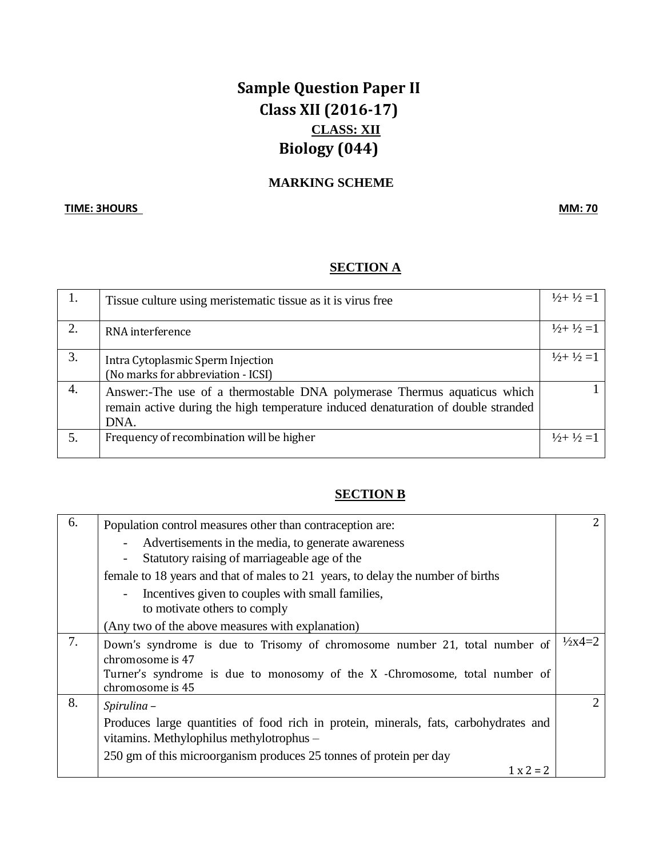# **Sample Question Paper II Class XII (2016-17) CLASS: XII Biology (044)**

## **MARKING SCHEME**

#### **TIME: 3HOURS MM: 70**

### **SECTION A**

|    | Tissue culture using meristematic tissue as it is virus free                      | $\frac{1}{2} + \frac{1}{2} = 1$ |
|----|-----------------------------------------------------------------------------------|---------------------------------|
| 2. | RNA interference                                                                  | $\frac{1}{2} + \frac{1}{2} = 1$ |
| 3. | Intra Cytoplasmic Sperm Injection                                                 | $\frac{1}{2} + \frac{1}{2} = 1$ |
|    | (No marks for abbreviation - ICSI)                                                |                                 |
| 4. | Answer:-The use of a thermostable DNA polymerase Thermus aquaticus which          |                                 |
|    | remain active during the high temperature induced denaturation of double stranded |                                 |
|    | DNA.                                                                              |                                 |
|    | Frequency of recombination will be higher                                         | $\frac{1}{2} + \frac{1}{2} = 1$ |
|    |                                                                                   |                                 |

#### **SECTION B**

| 6. | Population control measures other than contraception are:                                                                                        | 2                    |
|----|--------------------------------------------------------------------------------------------------------------------------------------------------|----------------------|
|    | Advertisements in the media, to generate awareness<br>$\overline{a}$<br>Statutory raising of marriageable age of the<br>$\overline{\phantom{a}}$ |                      |
|    | female to 18 years and that of males to 21 years, to delay the number of births                                                                  |                      |
|    | Incentives given to couples with small families,<br>$\sim$<br>to motivate others to comply                                                       |                      |
|    | (Any two of the above measures with explanation)                                                                                                 |                      |
| 7. | Down's syndrome is due to Trisomy of chromosome number 21, total number of<br>chromosome is 47                                                   | $\frac{1}{2}x^4 = 2$ |
|    | Turner's syndrome is due to monosomy of the X -Chromosome, total number of<br>chromosome is 45                                                   |                      |
| 8. | Spirulina -                                                                                                                                      | 2                    |
|    | Produces large quantities of food rich in protein, minerals, fats, carbohydrates and<br>vitamins. Methylophilus methylotrophus -                 |                      |
|    | 250 gm of this microorganism produces 25 tonnes of protein per day                                                                               |                      |
|    | $1 x 2 = 2$                                                                                                                                      |                      |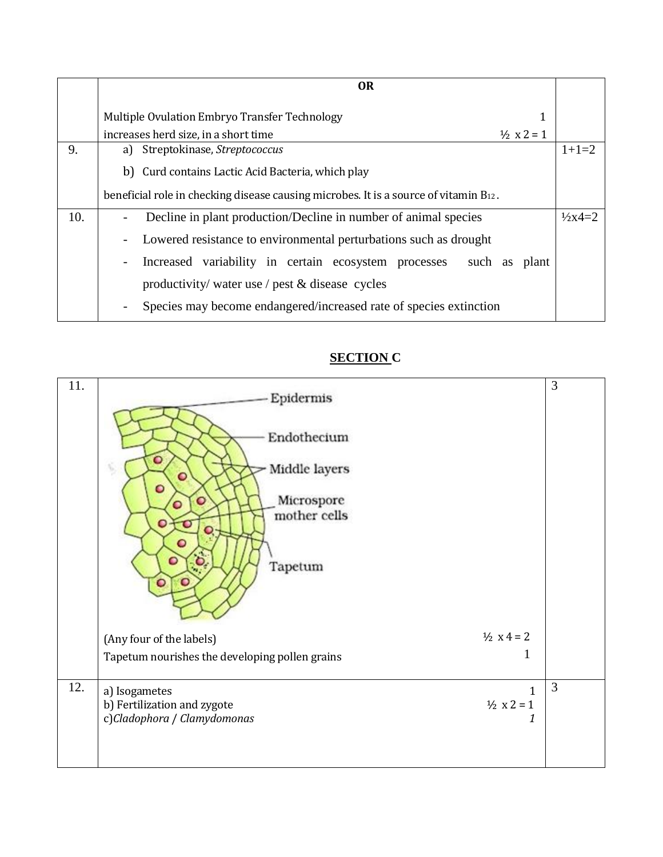|     | <b>OR</b>                                                                                                           |                   |
|-----|---------------------------------------------------------------------------------------------------------------------|-------------------|
|     | Multiple Ovulation Embryo Transfer Technology<br>1<br>increases herd size, in a short time<br>$\frac{1}{2}$ x 2 = 1 |                   |
| 9.  | a) Streptokinase, Streptococcus                                                                                     | $1+1=2$           |
|     | b) Curd contains Lactic Acid Bacteria, which play                                                                   |                   |
|     | beneficial role in checking disease causing microbes. It is a source of vitamin B12.                                |                   |
| 10. | Decline in plant production/Decline in number of animal species                                                     | $\frac{1}{2}x4=2$ |
|     | Lowered resistance to environmental perturbations such as drought<br>$\overline{\phantom{a}}$                       |                   |
|     | Increased variability in certain ecosystem processes<br>such as plant<br>$\blacksquare$                             |                   |
|     | productivity/ water use / pest & disease cycles                                                                     |                   |
|     | Species may become endangered/increased rate of species extinction<br>$\overline{\phantom{a}}$                      |                   |

## **SECTION C**

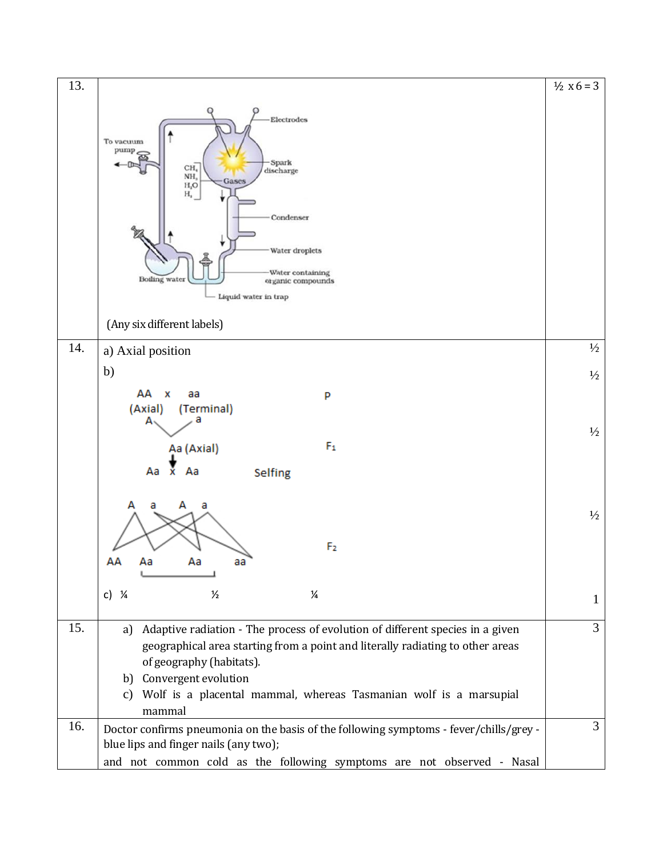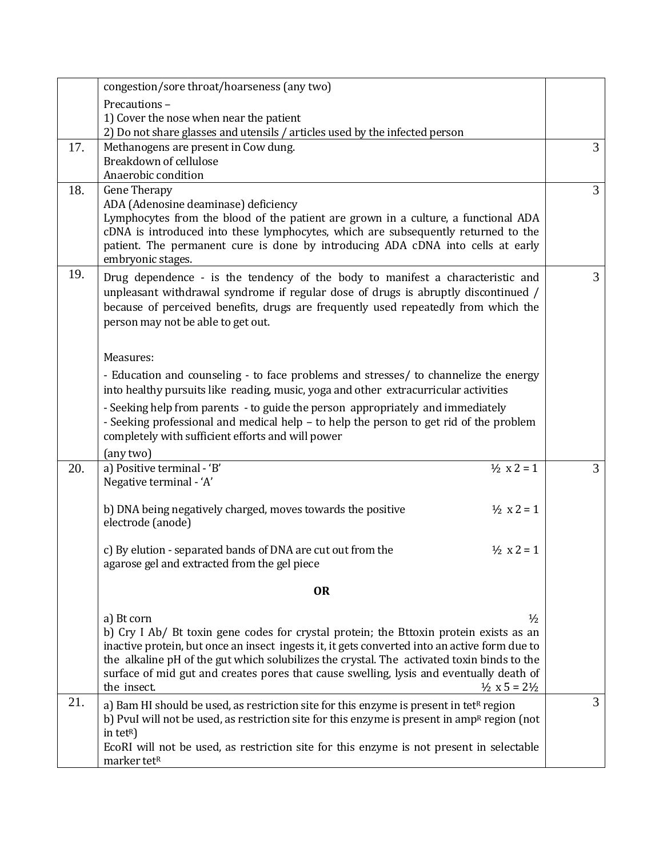|     | congestion/sore throat/hoarseness (any two)                                                                                                                                           |                |
|-----|---------------------------------------------------------------------------------------------------------------------------------------------------------------------------------------|----------------|
|     | Precautions-                                                                                                                                                                          |                |
|     | 1) Cover the nose when near the patient                                                                                                                                               |                |
|     | 2) Do not share glasses and utensils / articles used by the infected person                                                                                                           |                |
| 17. | Methanogens are present in Cow dung.                                                                                                                                                  | 3              |
|     | Breakdown of cellulose                                                                                                                                                                |                |
|     | Anaerobic condition                                                                                                                                                                   |                |
| 18. | <b>Gene Therapy</b>                                                                                                                                                                   | 3              |
|     | ADA (Adenosine deaminase) deficiency                                                                                                                                                  |                |
|     | Lymphocytes from the blood of the patient are grown in a culture, a functional ADA<br>cDNA is introduced into these lymphocytes, which are subsequently returned to the               |                |
|     | patient. The permanent cure is done by introducing ADA cDNA into cells at early                                                                                                       |                |
|     | embryonic stages.                                                                                                                                                                     |                |
| 19. | Drug dependence - is the tendency of the body to manifest a characteristic and                                                                                                        | 3              |
|     | unpleasant withdrawal syndrome if regular dose of drugs is abruptly discontinued /                                                                                                    |                |
|     | because of perceived benefits, drugs are frequently used repeatedly from which the                                                                                                    |                |
|     | person may not be able to get out.                                                                                                                                                    |                |
|     |                                                                                                                                                                                       |                |
|     | Measures:                                                                                                                                                                             |                |
|     | - Education and counseling - to face problems and stresses/ to channelize the energy                                                                                                  |                |
|     | into healthy pursuits like reading, music, yoga and other extracurricular activities                                                                                                  |                |
|     | - Seeking help from parents - to guide the person appropriately and immediately                                                                                                       |                |
|     | - Seeking professional and medical help - to help the person to get rid of the problem                                                                                                |                |
|     | completely with sufficient efforts and will power                                                                                                                                     |                |
|     | (any two)                                                                                                                                                                             |                |
| 20. | $\frac{1}{2}$ x 2 = 1<br>a) Positive terminal - 'B'<br>Negative terminal - 'A'                                                                                                        | $\overline{3}$ |
|     |                                                                                                                                                                                       |                |
|     | $\frac{1}{2}$ x 2 = 1<br>b) DNA being negatively charged, moves towards the positive                                                                                                  |                |
|     | electrode (anode)                                                                                                                                                                     |                |
|     |                                                                                                                                                                                       |                |
|     | c) By elution - separated bands of DNA are cut out from the<br>$\frac{1}{2}$ x 2 = 1                                                                                                  |                |
|     | agarose gel and extracted from the gel piece                                                                                                                                          |                |
|     | <b>OR</b>                                                                                                                                                                             |                |
|     |                                                                                                                                                                                       |                |
|     | $\frac{1}{2}$<br>a) Bt corn                                                                                                                                                           |                |
|     | b) Cry I Ab/ Bt toxin gene codes for crystal protein; the Bttoxin protein exists as an                                                                                                |                |
|     | inactive protein, but once an insect ingests it, it gets converted into an active form due to                                                                                         |                |
|     | the alkaline pH of the gut which solubilizes the crystal. The activated toxin binds to the<br>surface of mid gut and creates pores that cause swelling, lysis and eventually death of |                |
|     | the insect.<br>$\frac{1}{2}$ x 5 = 2 $\frac{1}{2}$                                                                                                                                    |                |
| 21. | a) Bam HI should be used, as restriction site for this enzyme is present in tet <sup>R</sup> region                                                                                   | 3              |
|     | b) Pvul will not be used, as restriction site for this enzyme is present in amp <sup>R</sup> region (not                                                                              |                |
|     | in tetR)                                                                                                                                                                              |                |
|     | EcoRI will not be used, as restriction site for this enzyme is not present in selectable                                                                                              |                |
|     | marker tetR                                                                                                                                                                           |                |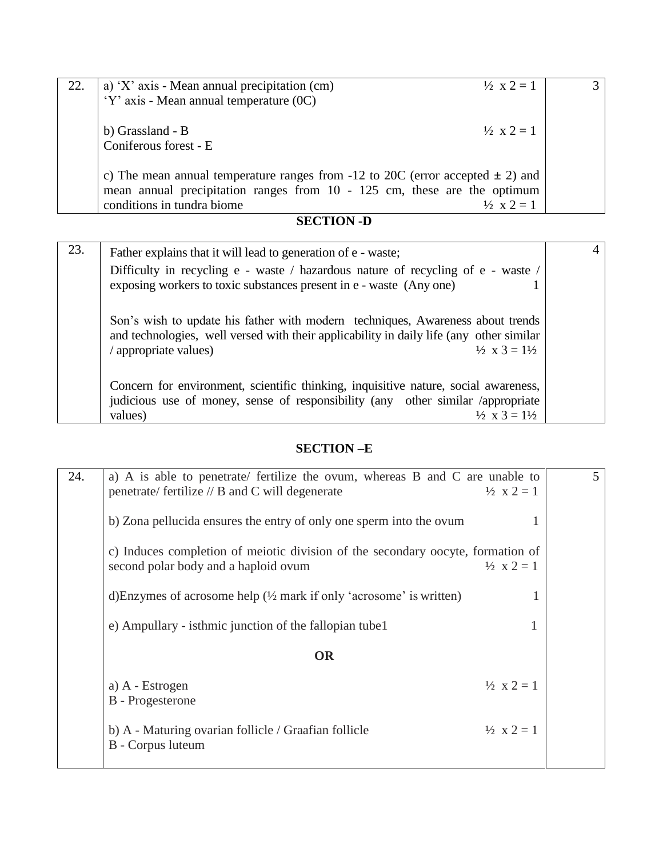| 22. | a) 'X' axis - Mean annual precipitation $(cm)$                                     | $\frac{1}{2}$ x 2 = 1 |  |
|-----|------------------------------------------------------------------------------------|-----------------------|--|
|     | 'Y' axis - Mean annual temperature (0C)                                            |                       |  |
|     |                                                                                    |                       |  |
|     | b) Grassland - B                                                                   | $\frac{1}{2}$ x 2 = 1 |  |
|     | Coniferous forest - E                                                              |                       |  |
|     |                                                                                    |                       |  |
|     | c) The mean annual temperature ranges from -12 to 20C (error accepted $\pm$ 2) and |                       |  |
|     | mean annual precipitation ranges from $10 - 125$ cm, these are the optimum         |                       |  |
|     | conditions in tundra biome                                                         | $\frac{1}{2}$ x 2 = 1 |  |

## **SECTION -D**

| 23. | Father explains that it will lead to generation of e - waste;                                                                                                                                                                           |  |
|-----|-----------------------------------------------------------------------------------------------------------------------------------------------------------------------------------------------------------------------------------------|--|
|     | Difficulty in recycling e - waste / hazardous nature of recycling of e - waste /<br>exposing workers to toxic substances present in e - waste (Any one)                                                                                 |  |
|     | Son's wish to update his father with modern techniques, Awareness about trends<br>and technologies, well versed with their applicability in daily life (any other similar<br>$\frac{1}{2}$ x 3 = $\frac{1}{2}$<br>/ appropriate values) |  |
|     | Concern for environment, scientific thinking, inquisitive nature, social awareness,<br>judicious use of money, sense of responsibility (any other similar /appropriate<br>$\frac{1}{2}$ x 3 = $\frac{1}{2}$<br>values)                  |  |

## **SECTION –E**

| 24. | a) A is able to penetrate/ fertilize the ovum, whereas B and C are unable to<br>penetrate/ fertilize $//$ B and C will degenerate | $\frac{1}{2}$ x 2 = 1 | 5 |
|-----|-----------------------------------------------------------------------------------------------------------------------------------|-----------------------|---|
|     | b) Zona pellucida ensures the entry of only one sperm into the ovum                                                               |                       |   |
|     | c) Induces completion of meiotic division of the secondary oocyte, formation of<br>second polar body and a haploid ovum           | $\frac{1}{2}$ x 2 = 1 |   |
|     | d) Enzymes of acrosome help $(\frac{1}{2}$ mark if only 'acrosome' is written)                                                    |                       |   |
|     | e) Ampullary - isthmic junction of the fallopian tube 1                                                                           |                       |   |
|     | <b>OR</b>                                                                                                                         |                       |   |
|     | a) A - Estrogen<br><b>B</b> - Progesterone                                                                                        | $\frac{1}{2}$ x 2 = 1 |   |
|     | b) A - Maturing ovarian follicle / Graafian follicle<br>B - Corpus luteum                                                         | $\frac{1}{2}$ x 2 = 1 |   |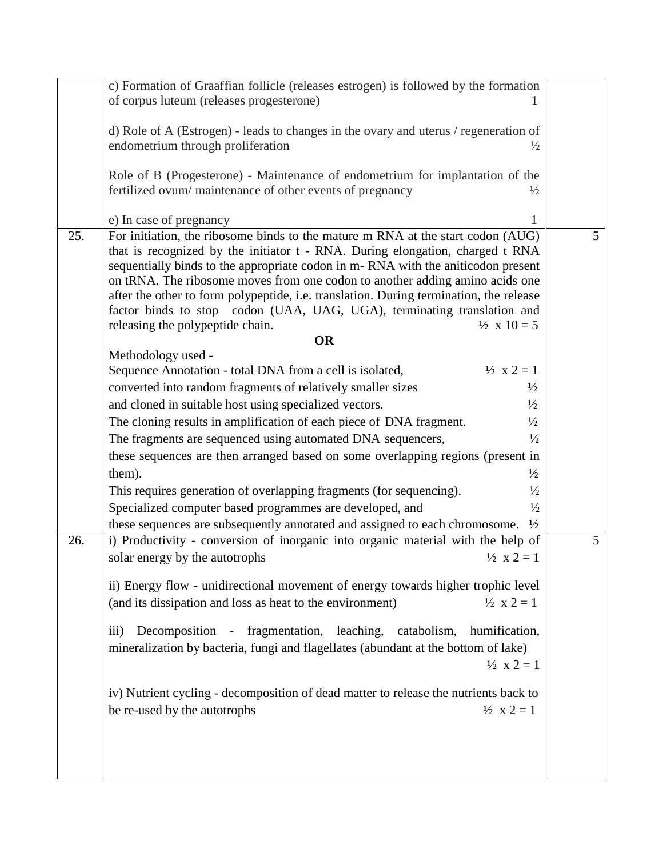|     | c) Formation of Graaffian follicle (releases estrogen) is followed by the formation                                                                               |                |
|-----|-------------------------------------------------------------------------------------------------------------------------------------------------------------------|----------------|
|     | of corpus luteum (releases progesterone)                                                                                                                          |                |
|     |                                                                                                                                                                   |                |
|     | d) Role of A (Estrogen) - leads to changes in the ovary and uterus / regeneration of                                                                              |                |
|     | endometrium through proliferation<br>$\frac{1}{2}$                                                                                                                |                |
|     |                                                                                                                                                                   |                |
|     | Role of B (Progesterone) - Maintenance of endometrium for implantation of the                                                                                     |                |
|     | fertilized ovum/maintenance of other events of pregnancy<br>$\frac{1}{2}$                                                                                         |                |
|     |                                                                                                                                                                   |                |
|     | e) In case of pregnancy                                                                                                                                           |                |
| 25. | For initiation, the ribosome binds to the mature m RNA at the start codon (AUG)                                                                                   | 5 <sup>5</sup> |
|     | that is recognized by the initiator t - RNA. During elongation, charged t RNA                                                                                     |                |
|     | sequentially binds to the appropriate codon in m-RNA with the aniticodon present                                                                                  |                |
|     | on tRNA. The ribosome moves from one codon to another adding amino acids one                                                                                      |                |
|     | after the other to form polypeptide, i.e. translation. During termination, the release<br>factor binds to stop codon (UAA, UAG, UGA), terminating translation and |                |
|     | $\frac{1}{2}$ x 10 = 5<br>releasing the polypeptide chain.                                                                                                        |                |
|     | <b>OR</b>                                                                                                                                                         |                |
|     | Methodology used -                                                                                                                                                |                |
|     | $\frac{1}{2}$ x 2 = 1<br>Sequence Annotation - total DNA from a cell is isolated,                                                                                 |                |
|     | converted into random fragments of relatively smaller sizes<br>$\frac{1}{2}$                                                                                      |                |
|     | and cloned in suitable host using specialized vectors.<br>$\frac{1}{2}$                                                                                           |                |
|     | The cloning results in amplification of each piece of DNA fragment.<br>$\frac{1}{2}$                                                                              |                |
|     | $\frac{1}{2}$                                                                                                                                                     |                |
|     | The fragments are sequenced using automated DNA sequencers,                                                                                                       |                |
|     | these sequences are then arranged based on some overlapping regions (present in                                                                                   |                |
|     | them).<br>$\frac{1}{2}$                                                                                                                                           |                |
|     | This requires generation of overlapping fragments (for sequencing).<br>$\frac{1}{2}$                                                                              |                |
|     | Specialized computer based programmes are developed, and<br>$\frac{1}{2}$                                                                                         |                |
|     | these sequences are subsequently annotated and assigned to each chromosome.<br>$\frac{1}{2}$                                                                      |                |
| 26. | i) Productivity - conversion of inorganic into organic material with the help of                                                                                  | 5              |
|     | solar energy by the autotrophs<br>$\frac{1}{2}$ x 2 = 1                                                                                                           |                |
|     |                                                                                                                                                                   |                |
|     | ii) Energy flow - unidirectional movement of energy towards higher trophic level                                                                                  |                |
|     | $\frac{1}{2}$ x 2 = 1<br>(and its dissipation and loss as heat to the environment)                                                                                |                |
|     |                                                                                                                                                                   |                |
|     | Decomposition - fragmentation, leaching, catabolism,<br>humification,<br>$\overline{\text{iii}}$                                                                  |                |
|     | mineralization by bacteria, fungi and flagellates (abundant at the bottom of lake)                                                                                |                |
|     | $\frac{1}{2}$ x 2 = 1                                                                                                                                             |                |
|     |                                                                                                                                                                   |                |
|     | iv) Nutrient cycling - decomposition of dead matter to release the nutrients back to                                                                              |                |
|     | be re-used by the autotrophs<br>$\frac{1}{2}$ x 2 = 1                                                                                                             |                |
|     |                                                                                                                                                                   |                |
|     |                                                                                                                                                                   |                |
|     |                                                                                                                                                                   |                |
|     |                                                                                                                                                                   |                |